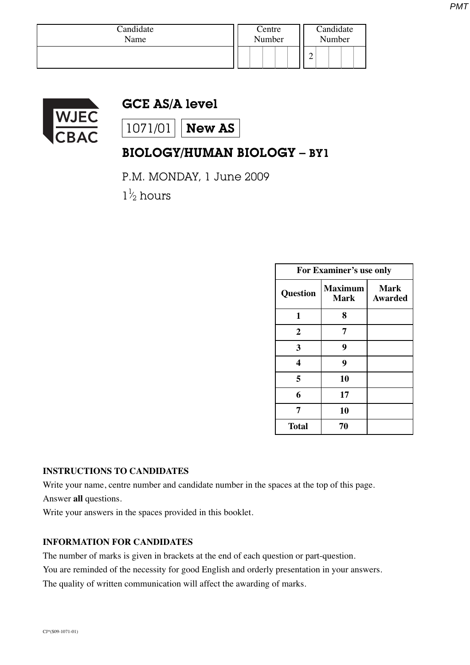| Candidate | Centre | Candidate |
|-----------|--------|-----------|
| Name      | Number | Number    |
|           |        |           |



## GCE AS/A level

1071/01 **New AS** 

## BIOLOGY/HUMAN BIOLOGY – BY1

P.M. MONDAY, 1 June 2009

 $1\frac{1}{2}$  hours ⁄

| For Examiner's use only |                               |                               |
|-------------------------|-------------------------------|-------------------------------|
| Question                | <b>Maximum</b><br><b>Mark</b> | <b>Mark</b><br><b>Awarded</b> |
| 1                       | 8                             |                               |
| $\boldsymbol{2}$        | 7                             |                               |
| 3                       | 9                             |                               |
| 4                       | 9                             |                               |
| 5                       | 10                            |                               |
| 6                       | 17                            |                               |
| 7                       | 10                            |                               |
| <b>Total</b>            | 70                            |                               |

### **INSTRUCTIONS TO CANDIDATES**

Write your name, centre number and candidate number in the spaces at the top of this page.

Answer **all** questions.

Write your answers in the spaces provided in this booklet.

## **INFORMATION FOR CANDIDATES**

The number of marks is given in brackets at the end of each question or part-question. You are reminded of the necessity for good English and orderly presentation in your answers. The quality of written communication will affect the awarding of marks.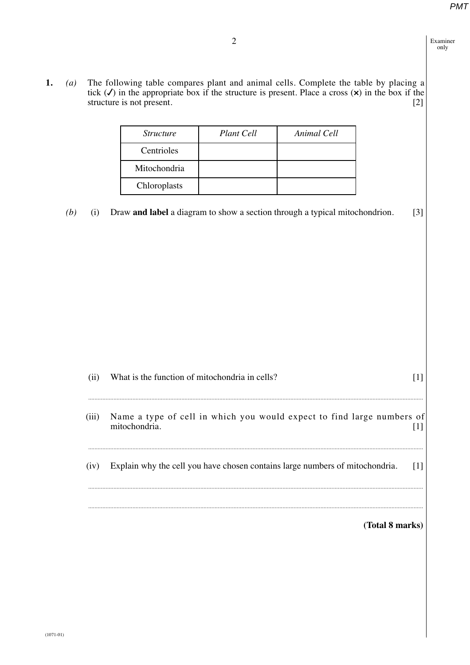# 2 Examiner only

**1.** *(a)* The following table compares plant and animal cells. Complete the table by placing a tick (√) in the appropriate box if the structure is present. Place a cross (**×**) in the box if the structure is not present. [2]

| <i>Structure</i> | Plant Cell | Animal Cell |
|------------------|------------|-------------|
| Centrioles       |            |             |
| Mitochondria     |            |             |
| Chloroplasts     |            |             |

*(b)* (i) Draw **and label** a diagram to show a section through a typical mitochondrion. [3]

(ii) What is the function of mitochondria in cells? [1]

(iii) Name a type of cell in which you would expect to find large numbers of mitochondria. [1]

**....................................................................................................................................................................................................................**

(iv) Explain why the cell you have chosen contains large numbers of mitochondria. [1]

**....................................................................................................................................................................................................................**

**....................................................................................................................................................................................................................**

**....................................................................................................................................................................................................................**

**(Total 8 marks)**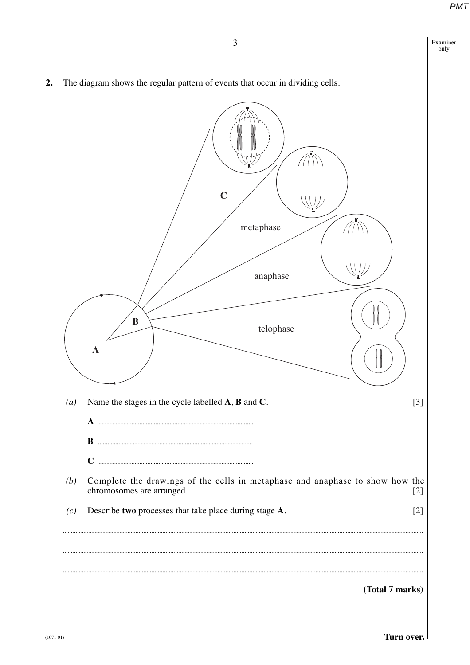Examiner



Turn over.

 $2.$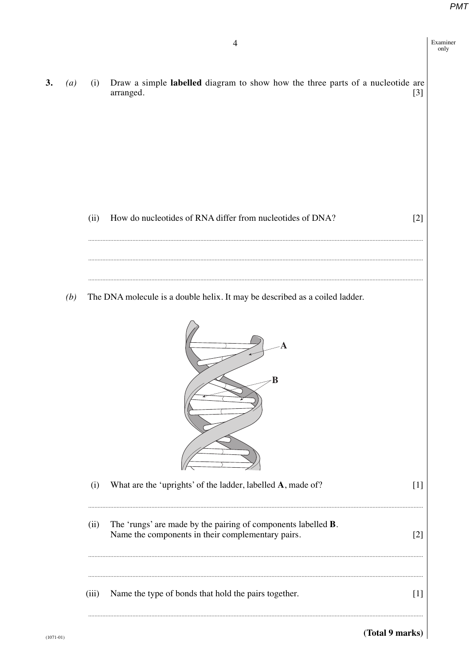Examiner

 $\frac{1}{\text{only}}$ 

 $[2]$ 

 $3.$  $(i)$ Draw a simple labelled diagram to show how the three parts of a nucleotide are  $(a)$ arranged.  $\lceil 3 \rceil$ 

- How do nucleotides of RNA differ from nucleotides of DNA?  $(ii)$
- The DNA molecule is a double helix. It may be described as a coiled ladder.  $(b)$



(Total 9 marks)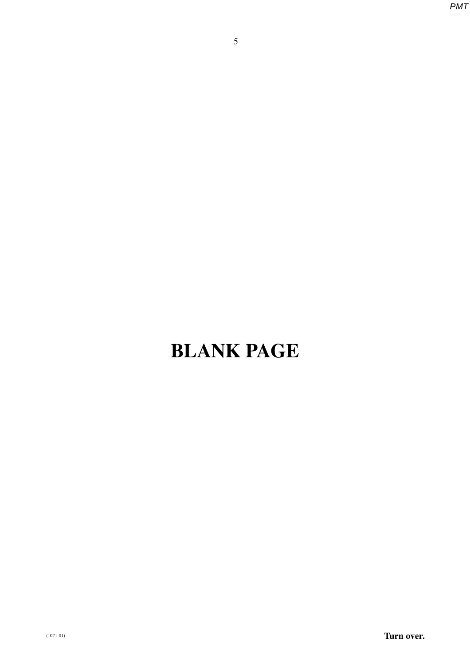**BLANK PAGE**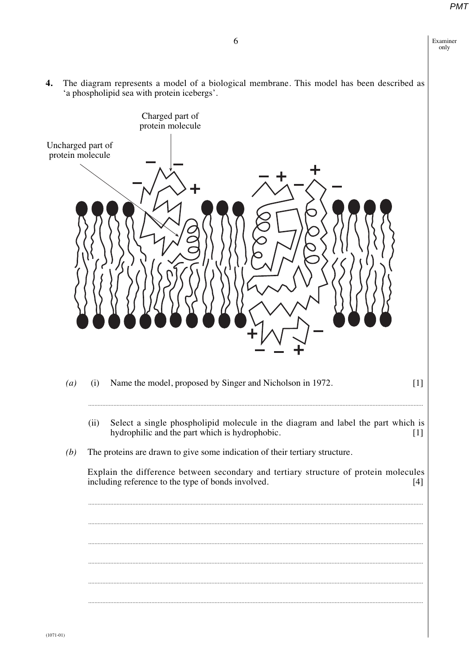Examiner

only The diagram represents a model of a biological membrane. This model has been described as  $\overline{4}$ . 'a phospholipid sea with protein icebergs'. Charged part of protein molecule Uncharged part of protein molecule Name the model, proposed by Singer and Nicholson in 1972.  $(a)$  $(i)$  $[1]$ Select a single phospholipid molecule in the diagram and label the part which is  $(ii)$ hydrophilic and the part which is hydrophobic.  $[1]$ The proteins are drawn to give some indication of their tertiary structure.  $(b)$ Explain the difference between secondary and tertiary structure of protein molecules including reference to the type of bonds involved.  $[4]$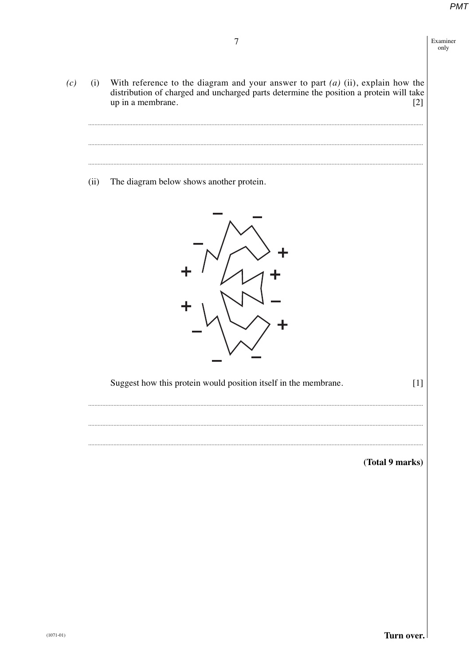#### Examiner only

With reference to the diagram and your answer to part  $(a)$  (ii), explain how the  $(c)$  $(i)$ distribution of charged and uncharged parts determine the position a protein will take up in a membrane.  $[2]$ 

The diagram below shows another protein.  $(ii)$ 



Suggest how this protein would position itself in the membrane.

 $[1]$ 

(Total 9 marks)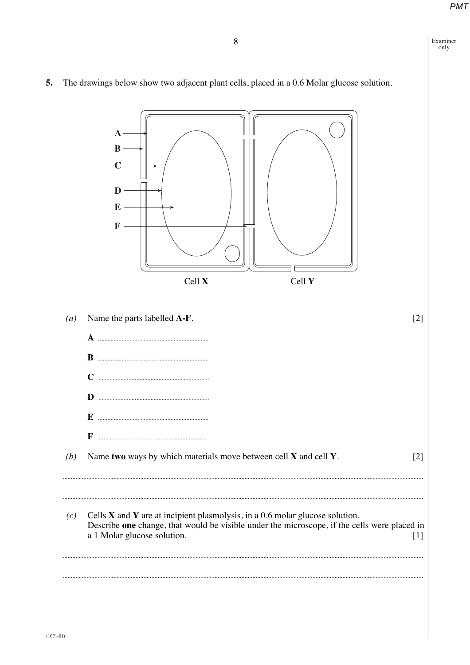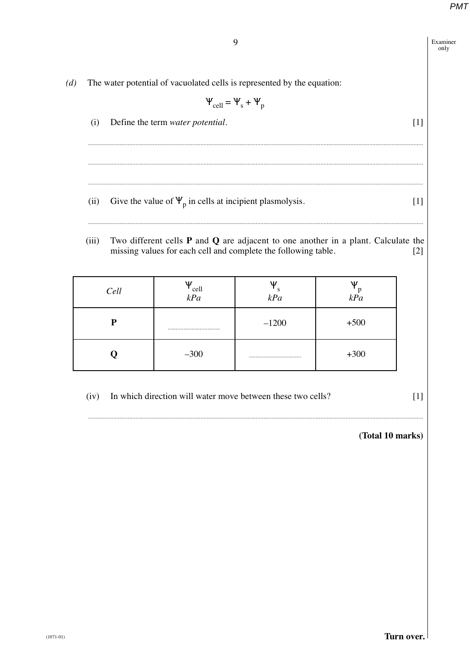Examiner only

The water potential of vacuolated cells is represented by the equation:  $(d)$ 

$$
\Psi_{cell} = \Psi_s + \Psi_p
$$

- Define the term water potential.  $[1]$  $(i)$ Give the value of  $\Psi_p$  in cells at incipient plasmolysis.  $(ii)$  $[1]$
- Two different cells  $P$  and  $Q$  are adjacent to one another in a plant. Calculate the  $(iii)$ missing values for each cell and complete the following table.  $[2]$

| Cell | $\frac{\Psi_{\text{cell}}}{kPa}$ | w<br>kPa | kPa    |
|------|----------------------------------|----------|--------|
| P    |                                  | $-1200$  | $+500$ |
|      | $-300$                           |          | $+300$ |

In which direction will water move between these two cells?  $(iv)$ 

 $[1]$ 

(Total 10 marks)

...................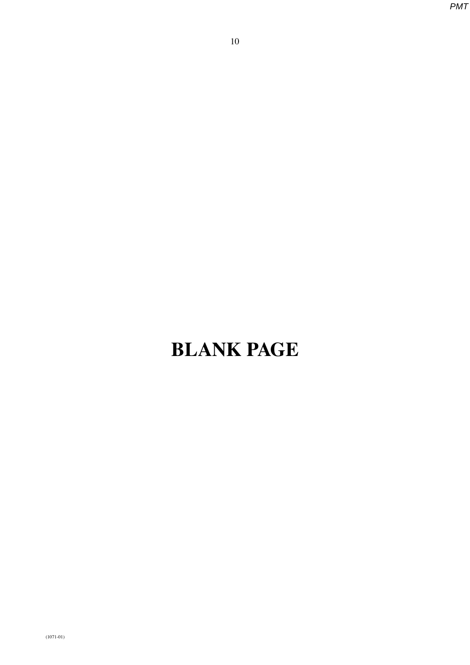**BLANK PAGE**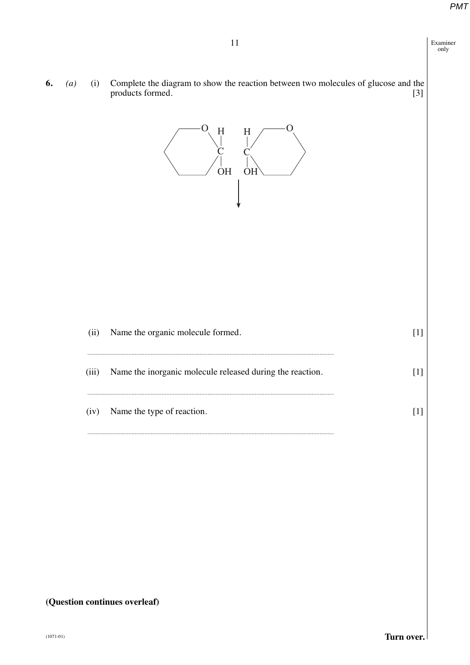**6.** *(a)* (i) Complete the diagram to show the reaction between two molecules of glucose and the products formed. [3]



| (11)  | Name the organic molecule formed.                         |  |
|-------|-----------------------------------------------------------|--|
| (111) | Name the inorganic molecule released during the reaction. |  |
| (iv)  | Name the type of reaction.                                |  |

## **(Question continues overleaf)**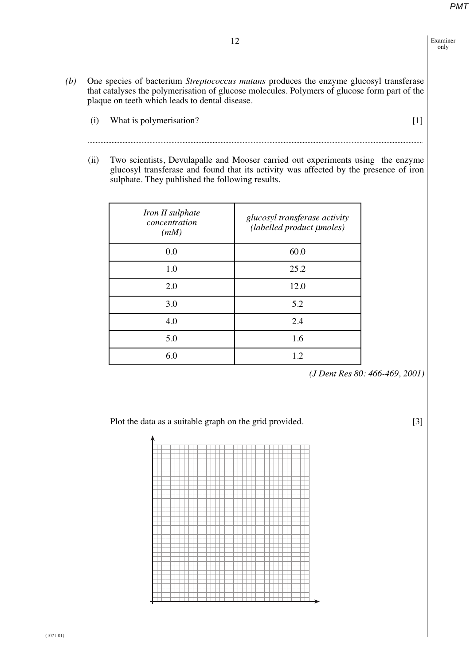only

#### 12 Examiner

- *(b)* One species of bacterium *Streptococcus mutans* produces the enzyme glucosyl transferase that catalyses the polymerisation of glucose molecules. Polymers of glucose form part of the plaque on teeth which leads to dental disease.
	-
	- (i) What is polymerisation? [1]
	- (ii) Two scientists, Devulapalle and Mooser carried out experiments using the enzyme glucosyl transferase and found that its activity was affected by the presence of iron sulphate. They published the following results.

**....................................................................................................................................................................................................................**

| Iron II sulphate<br>concentration<br>(mM) | glucosyl transferase activity<br>(labelled product µmoles) |
|-------------------------------------------|------------------------------------------------------------|
| 0.0                                       | 60.0                                                       |
| 1.0                                       | 25.2                                                       |
| 2.0                                       | 12.0                                                       |
| 3.0                                       | 5.2                                                        |
| 4.0                                       | 2.4                                                        |
| 5.0                                       | 1.6                                                        |
| 6.0                                       | 1.2                                                        |

*(J Dent Res 80: 466-469, 2001)*

Plot the data as a suitable graph on the grid provided. [3]

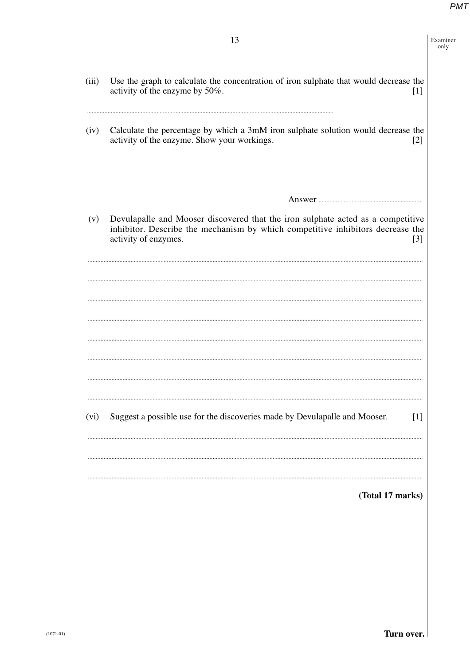Examiner<br>only

| Calculate the percentage by which a 3mM iron sulphate solution would decrease the<br>activity of the enzyme. Show your workings.<br>$\lceil 2 \rceil$<br>Devulapalle and Mooser discovered that the iron sulphate acted as a competitive<br>inhibitor. Describe the mechanism by which competitive inhibitors decrease the<br>$\lceil 3 \rceil$ |
|-------------------------------------------------------------------------------------------------------------------------------------------------------------------------------------------------------------------------------------------------------------------------------------------------------------------------------------------------|
|                                                                                                                                                                                                                                                                                                                                                 |
|                                                                                                                                                                                                                                                                                                                                                 |
|                                                                                                                                                                                                                                                                                                                                                 |
|                                                                                                                                                                                                                                                                                                                                                 |
|                                                                                                                                                                                                                                                                                                                                                 |
| Suggest a possible use for the discoveries made by Devulapalle and Mooser.<br>$[1]$                                                                                                                                                                                                                                                             |
| (Total 17 marks)                                                                                                                                                                                                                                                                                                                                |
|                                                                                                                                                                                                                                                                                                                                                 |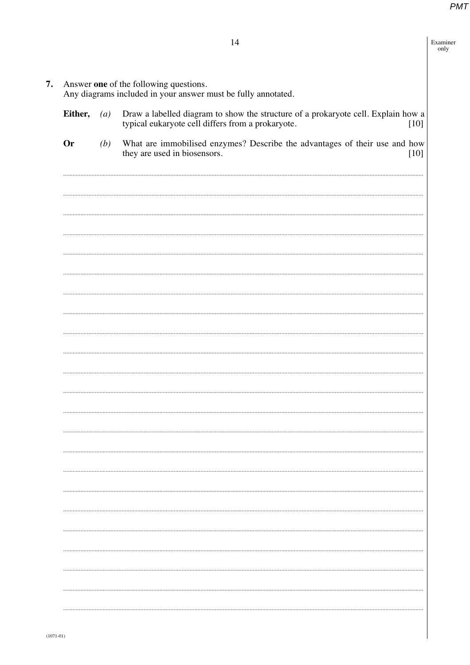Examiner  $\frac{1}{\text{only}}$ 

 $[10]$ 

Draw a labelled diagram to show the structure of a prokaryote cell. Explain how a

Answer one of the following questions.

Any diagrams included in your answer must be fully annotated.

typical eukaryote cell differs from a prokaryote.

7.

Either,  $(a)$ 

| <b>Or</b>   | (b) What are immobilised enzymes? Describe the advantages of their use and how they are used in biosensors. $[10]$ |
|-------------|--------------------------------------------------------------------------------------------------------------------|
|             |                                                                                                                    |
|             |                                                                                                                    |
|             |                                                                                                                    |
|             |                                                                                                                    |
|             |                                                                                                                    |
|             |                                                                                                                    |
|             |                                                                                                                    |
|             |                                                                                                                    |
|             |                                                                                                                    |
|             |                                                                                                                    |
|             |                                                                                                                    |
|             |                                                                                                                    |
|             |                                                                                                                    |
|             |                                                                                                                    |
|             |                                                                                                                    |
|             |                                                                                                                    |
|             |                                                                                                                    |
|             |                                                                                                                    |
| $(1071-01)$ |                                                                                                                    |
|             |                                                                                                                    |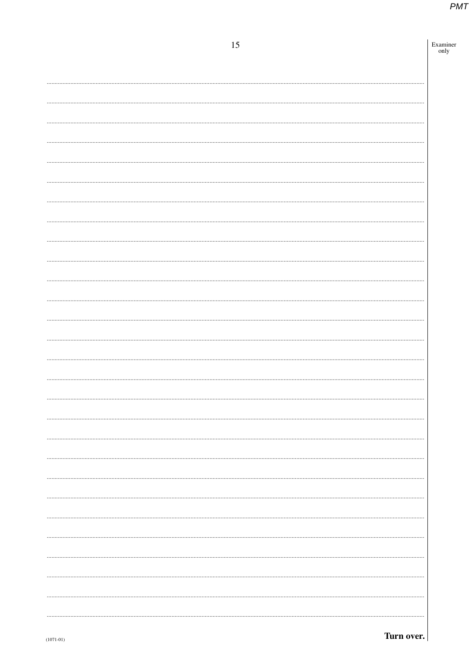| 15 | Examiner<br>only |
|----|------------------|
|    |                  |
|    |                  |
|    |                  |
|    |                  |
|    |                  |
|    |                  |
|    |                  |
|    |                  |
|    |                  |
|    |                  |
|    |                  |
|    |                  |
|    |                  |
|    |                  |
|    |                  |
|    |                  |
|    |                  |
|    |                  |
|    |                  |
|    |                  |
|    |                  |
|    |                  |
|    |                  |
|    |                  |
|    |                  |
|    |                  |
|    |                  |
|    |                  |
|    |                  |